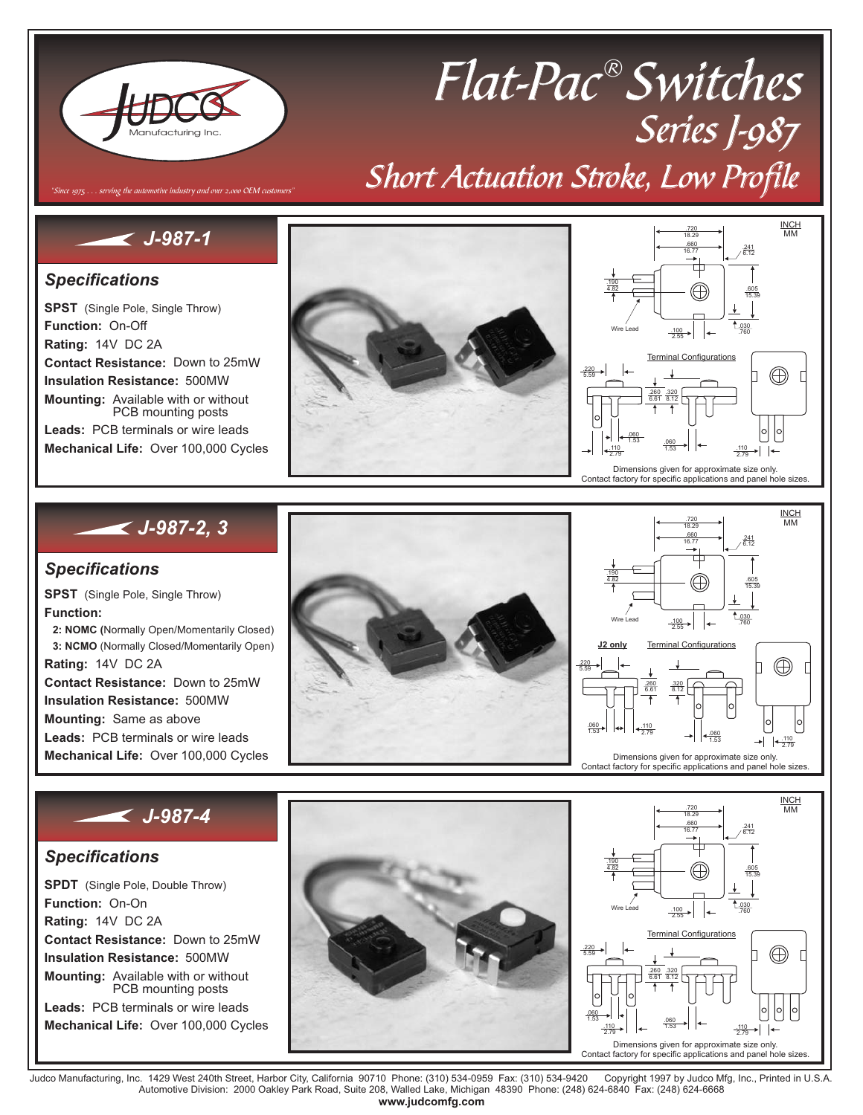

# Flat-Pac® Switches Series J-987 Short Actuation Stroke, Low Profile

## *J-987-1*

"Since 1975  $\dots$  serving the automotive industry and over 2,000 OEM custo.

### *Specifications*

**SPST** (Single Pole, Single Throw) **Function:** On-Off **Rating:** 14V DC 2A **Contact Resistance:** Down to 25m Ω **Insulation Resistance:** 500M Ω **Mounting:** Available with or without **Leads:** PCB terminals or wire leads **Mechanical Life:** Over 100,000 Cycles PCB mounting posts





### *J-987-2, 3*

### *Specifications*

**SPST** (Single Pole, Single Throw) **Function: Rating:** 14V DC 2A **Contact Resistance:** Down to 25m Ω **Insulation Resistance:** 500M Ω **Mounting:** Same as above **Mechanical Life:** Over 100,000 Cycles **2: NOMC (**Normally Open/Momentarily Closed) **3: NCMO** (Normally Closed/Momentarily Open) **Leads:** PCB terminals or wire leads





INCH MM

.241

## *J-987-4*

### *Specifications*

**SPDT** (Single Pole, Double Throw) **Function:** On-On **Rating:** 14V DC 2A **Contact Resistance:** Down to 25m Ω **Insulation Resistance:** 500M Ω **Mechanical Life:** Over 100,000 Cycles **Mounting:** Available with or without **Leads:** PCB terminals or wire leads PCB mounting posts





Judco Manufacturing, Inc. 1429 West 240th Street, Harbor City, California 90710 Phone: (310) 534-0959 Fax: (310) 534-9420 Copyright 1997 by Judco Mfg, Inc., Printed in U.S.A.<br>Automotive Division: 2000 Oakley Park R **www.judcomfg.com**